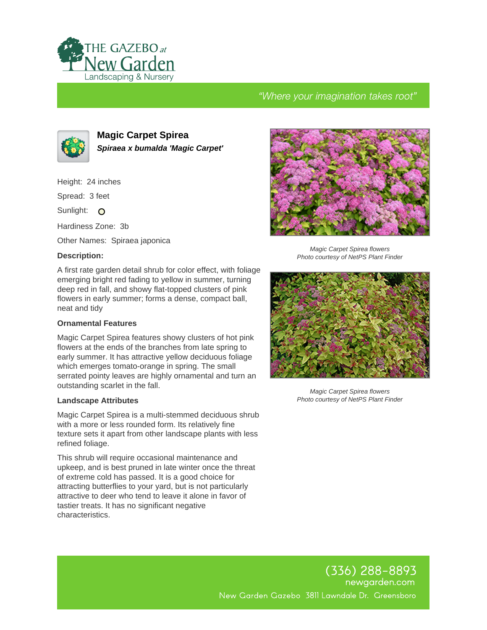

# "Where your imagination takes root"



**Magic Carpet Spirea Spiraea x bumalda 'Magic Carpet'**

Height: 24 inches

Spread: 3 feet

Sunlight: O

Hardiness Zone: 3b

Other Names: Spiraea japonica

### **Description:**

A first rate garden detail shrub for color effect, with foliage emerging bright red fading to yellow in summer, turning deep red in fall, and showy flat-topped clusters of pink flowers in early summer; forms a dense, compact ball, neat and tidy

#### **Ornamental Features**

Magic Carpet Spirea features showy clusters of hot pink flowers at the ends of the branches from late spring to early summer. It has attractive yellow deciduous foliage which emerges tomato-orange in spring. The small serrated pointy leaves are highly ornamental and turn an outstanding scarlet in the fall.

#### **Landscape Attributes**

Magic Carpet Spirea is a multi-stemmed deciduous shrub with a more or less rounded form. Its relatively fine texture sets it apart from other landscape plants with less refined foliage.

This shrub will require occasional maintenance and upkeep, and is best pruned in late winter once the threat of extreme cold has passed. It is a good choice for attracting butterflies to your yard, but is not particularly attractive to deer who tend to leave it alone in favor of tastier treats. It has no significant negative characteristics.



Magic Carpet Spirea flowers Photo courtesy of NetPS Plant Finder



Magic Carpet Spirea flowers Photo courtesy of NetPS Plant Finder

(336) 288–8893 newgarden.com New Garden Gazebo 3811 Lawndale Dr. Greensboro